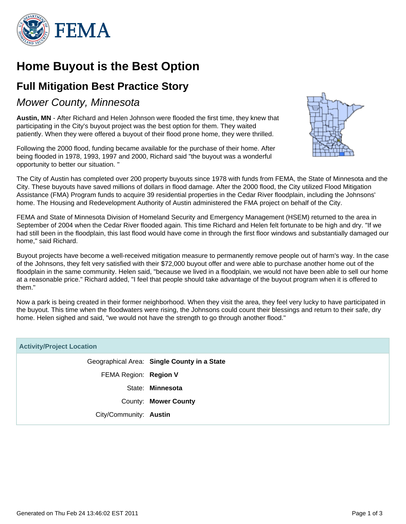

## **Home Buyout is the Best Option**

## **Full Mitigation Best Practice Story**

### Mower County, Minnesota

**Austin, MN** - After Richard and Helen Johnson were flooded the first time, they knew that participating in the City's buyout project was the best option for them. They waited patiently. When they were offered a buyout of their flood prone home, they were thrilled.

Following the 2000 flood, funding became available for the purchase of their home. After being flooded in 1978, 1993, 1997 and 2000, Richard said "the buyout was a wonderful opportunity to better our situation. "



The City of Austin has completed over 200 property buyouts since 1978 with funds from FEMA, the State of Minnesota and the City. These buyouts have saved millions of dollars in flood damage. After the 2000 flood, the City utilized Flood Mitigation Assistance (FMA) Program funds to acquire 39 residential properties in the Cedar River floodplain, including the Johnsons' home. The Housing and Redevelopment Authority of Austin administered the FMA project on behalf of the City.

FEMA and State of Minnesota Division of Homeland Security and Emergency Management (HSEM) returned to the area in September of 2004 when the Cedar River flooded again. This time Richard and Helen felt fortunate to be high and dry. "If we had still been in the floodplain, this last flood would have come in through the first floor windows and substantially damaged our home," said Richard.

Buyout projects have become a well-received mitigation measure to permanently remove people out of harm's way. In the case of the Johnsons, they felt very satisfied with their \$72,000 buyout offer and were able to purchase another home out of the floodplain in the same community. Helen said, "because we lived in a floodplain, we would not have been able to sell our home at a reasonable price." Richard added, "I feel that people should take advantage of the buyout program when it is offered to them."

Now a park is being created in their former neighborhood. When they visit the area, they feel very lucky to have participated in the buyout. This time when the floodwaters were rising, the Johnsons could count their blessings and return to their safe, dry home. Helen sighed and said, "we would not have the strength to go through another flood."

| <b>Activity/Project Location</b> |                                             |
|----------------------------------|---------------------------------------------|
|                                  | Geographical Area: Single County in a State |
| FEMA Region: Region V            |                                             |
|                                  | State: Minnesota                            |
|                                  | County: Mower County                        |
| City/Community: Austin           |                                             |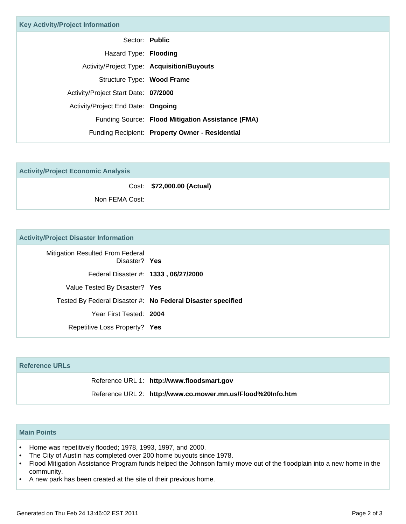| <b>Key Activity/Project Information</b> |                                                   |  |
|-----------------------------------------|---------------------------------------------------|--|
|                                         | Sector: Public                                    |  |
| Hazard Type: Flooding                   |                                                   |  |
|                                         | Activity/Project Type: Acquisition/Buyouts        |  |
| Structure Type: Wood Frame              |                                                   |  |
| Activity/Project Start Date: 07/2000    |                                                   |  |
| Activity/Project End Date: Ongoing      |                                                   |  |
|                                         | Funding Source: Flood Mitigation Assistance (FMA) |  |
|                                         | Funding Recipient: Property Owner - Residential   |  |

| <b>Activity/Project Economic Analysis</b> |                            |
|-------------------------------------------|----------------------------|
|                                           | Cost: \$72,000.00 (Actual) |
| Non FEMA Cost:                            |                            |

#### **Activity/Project Disaster Information**

| Mitigation Resulted From Federal<br>Disaster? Yes |                                                             |
|---------------------------------------------------|-------------------------------------------------------------|
| Federal Disaster #: 1333, 06/27/2000              |                                                             |
| Value Tested By Disaster? Yes                     |                                                             |
|                                                   | Tested By Federal Disaster #: No Federal Disaster specified |
| Year First Tested: 2004                           |                                                             |
| Repetitive Loss Property? Yes                     |                                                             |
|                                                   |                                                             |

# **Reference URLs** Reference URL 1: **http://www.floodsmart.gov** Reference URL 2: **http://www.co.mower.mn.us/Flood%20Info.htm**

#### **Main Points**

- Home was repetitively flooded; 1978, 1993, 1997, and 2000.
- The City of Austin has completed over 200 home buyouts since 1978.
- Flood Mitigation Assistance Program funds helped the Johnson family move out of the floodplain into a new home in the community. •
- A new park has been created at the site of their previous home.